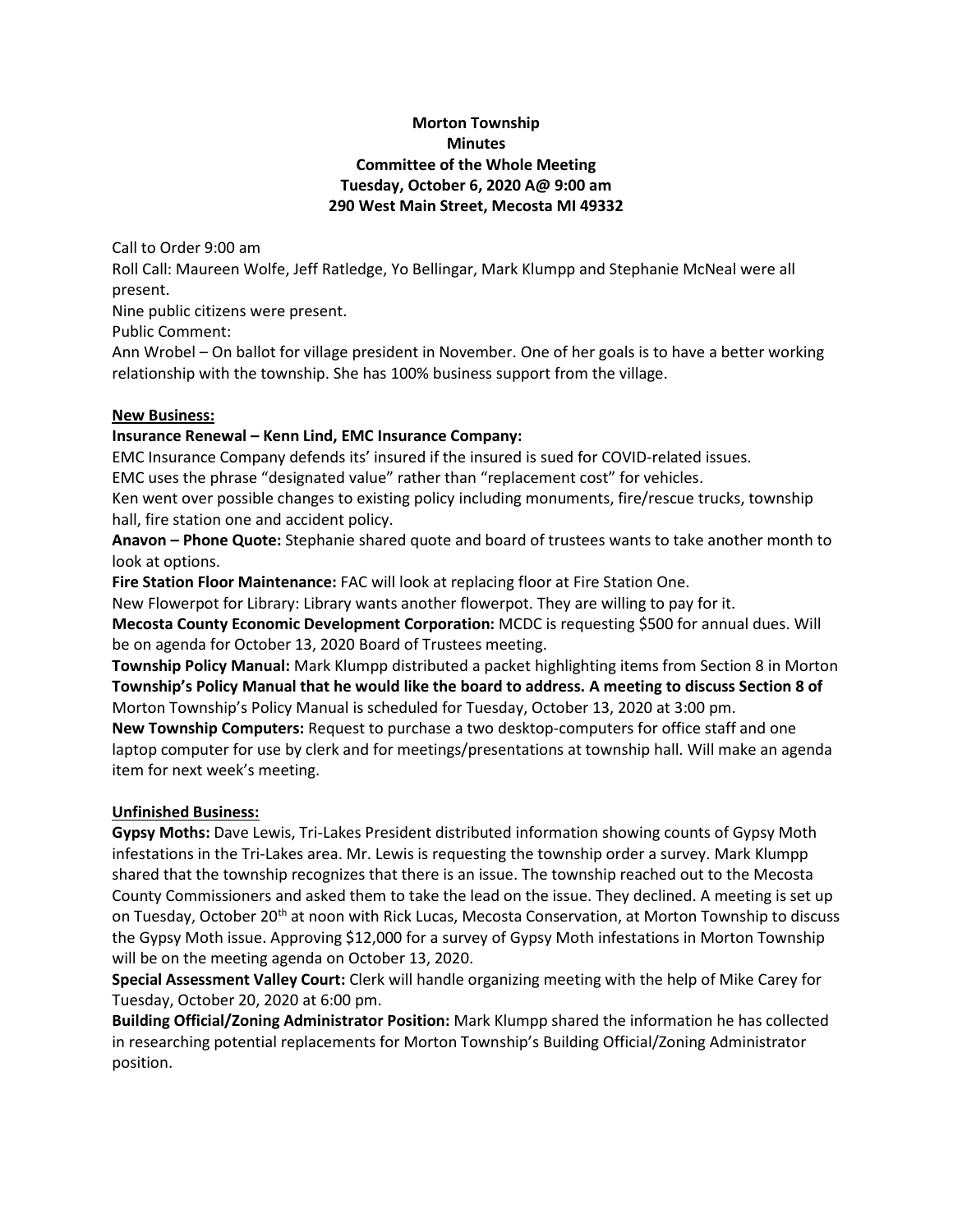# **Morton Township Minutes Committee of the Whole Meeting Tuesday, October 6, 2020 A@ 9:00 am 290 West Main Street, Mecosta MI 49332**

Call to Order 9:00 am

Roll Call: Maureen Wolfe, Jeff Ratledge, Yo Bellingar, Mark Klumpp and Stephanie McNeal were all present.

Nine public citizens were present.

Public Comment:

Ann Wrobel – On ballot for village president in November. One of her goals is to have a better working relationship with the township. She has 100% business support from the village.

### **New Business:**

## **Insurance Renewal – Kenn Lind, EMC Insurance Company:**

EMC Insurance Company defends its' insured if the insured is sued for COVID-related issues.

EMC uses the phrase "designated value" rather than "replacement cost" for vehicles.

Ken went over possible changes to existing policy including monuments, fire/rescue trucks, township hall, fire station one and accident policy.

**Anavon – Phone Quote:** Stephanie shared quote and board of trustees wants to take another month to look at options.

**Fire Station Floor Maintenance:** FAC will look at replacing floor at Fire Station One.

New Flowerpot for Library: Library wants another flowerpot. They are willing to pay for it.

**Mecosta County Economic Development Corporation:** MCDC is requesting \$500 for annual dues. Will be on agenda for October 13, 2020 Board of Trustees meeting.

**Township Policy Manual:** Mark Klumpp distributed a packet highlighting items from Section 8 in Morton **Township's Policy Manual that he would like the board to address. A meeting to discuss Section 8 of** Morton Township's Policy Manual is scheduled for Tuesday, October 13, 2020 at 3:00 pm.

**New Township Computers:** Request to purchase a two desktop-computers for office staff and one laptop computer for use by clerk and for meetings/presentations at township hall. Will make an agenda item for next week's meeting.

# **Unfinished Business:**

**Gypsy Moths:** Dave Lewis, Tri-Lakes President distributed information showing counts of Gypsy Moth infestations in the Tri-Lakes area. Mr. Lewis is requesting the township order a survey. Mark Klumpp shared that the township recognizes that there is an issue. The township reached out to the Mecosta County Commissioners and asked them to take the lead on the issue. They declined. A meeting is set up on Tuesday, October 20<sup>th</sup> at noon with Rick Lucas, Mecosta Conservation, at Morton Township to discuss the Gypsy Moth issue. Approving \$12,000 for a survey of Gypsy Moth infestations in Morton Township will be on the meeting agenda on October 13, 2020.

**Special Assessment Valley Court:** Clerk will handle organizing meeting with the help of Mike Carey for Tuesday, October 20, 2020 at 6:00 pm.

**Building Official/Zoning Administrator Position:** Mark Klumpp shared the information he has collected in researching potential replacements for Morton Township's Building Official/Zoning Administrator position.